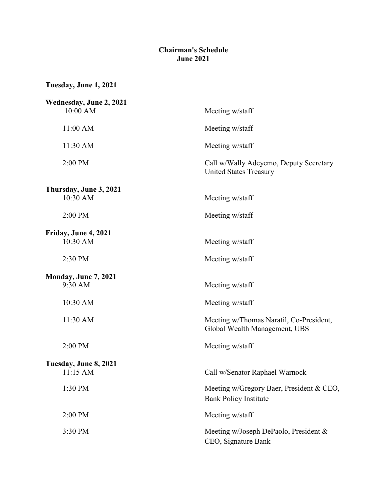## **Chairman's Schedule June 2021**

**Tuesday, June 1, 2021**

| Wednesday, June 2, 2021            |                                                                          |
|------------------------------------|--------------------------------------------------------------------------|
| 10:00 AM                           | Meeting w/staff                                                          |
| 11:00 AM                           | Meeting w/staff                                                          |
| 11:30 AM                           | Meeting w/staff                                                          |
| 2:00 PM                            | Call w/Wally Adeyemo, Deputy Secretary<br><b>United States Treasury</b>  |
| Thursday, June 3, 2021<br>10:30 AM | Meeting w/staff                                                          |
| 2:00 PM                            | Meeting w/staff                                                          |
| Friday, June 4, 2021               |                                                                          |
| 10:30 AM                           | Meeting w/staff                                                          |
| 2:30 PM                            | Meeting w/staff                                                          |
| Monday, June 7, 2021               |                                                                          |
| 9:30 AM                            | Meeting w/staff                                                          |
| 10:30 AM                           | Meeting w/staff                                                          |
| 11:30 AM                           | Meeting w/Thomas Naratil, Co-President,<br>Global Wealth Management, UBS |
| 2:00 PM                            | Meeting w/staff                                                          |
| Tuesday, June 8, 2021              |                                                                          |
| 11:15 AM                           | Call w/Senator Raphael Warnock                                           |
| 1:30 PM                            | Meeting w/Gregory Baer, President & CEO,<br><b>Bank Policy Institute</b> |
| 2:00 PM                            | Meeting w/staff                                                          |
| 3:30 PM                            | Meeting w/Joseph DePaolo, President &<br>CEO, Signature Bank             |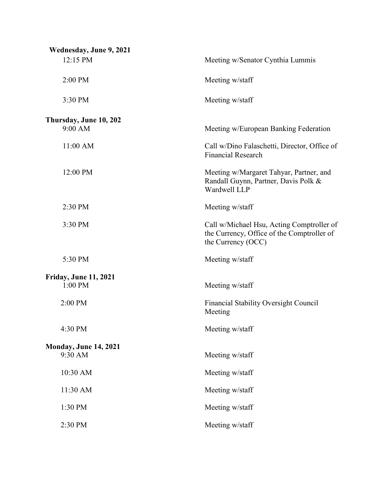| Wednesday, June 9, 2021                 |                                                                                                               |
|-----------------------------------------|---------------------------------------------------------------------------------------------------------------|
| 12:15 PM                                | Meeting w/Senator Cynthia Lummis                                                                              |
| 2:00 PM                                 | Meeting w/staff                                                                                               |
| 3:30 PM                                 | Meeting w/staff                                                                                               |
| Thursday, June 10, 202<br>9:00 AM       | Meeting w/European Banking Federation                                                                         |
| 11:00 AM                                | Call w/Dino Falaschetti, Director, Office of<br><b>Financial Research</b>                                     |
| 12:00 PM                                | Meeting w/Margaret Tahyar, Partner, and<br>Randall Guynn, Partner, Davis Polk &<br>Wardwell LLP               |
| 2:30 PM                                 | Meeting w/staff                                                                                               |
| 3:30 PM                                 | Call w/Michael Hsu, Acting Comptroller of<br>the Currency, Office of the Comptroller of<br>the Currency (OCC) |
| 5:30 PM                                 | Meeting w/staff                                                                                               |
| <b>Friday, June 11, 2021</b><br>1:00 PM | Meeting w/staff                                                                                               |
| 2:00 PM                                 | <b>Financial Stability Oversight Council</b><br>Meeting                                                       |
| 4:30 PM                                 | Meeting w/staff                                                                                               |
| <b>Monday, June 14, 2021</b><br>9:30 AM | Meeting w/staff                                                                                               |
| 10:30 AM                                | Meeting w/staff                                                                                               |
| 11:30 AM                                | Meeting w/staff                                                                                               |
| 1:30 PM                                 | Meeting w/staff                                                                                               |
| 2:30 PM                                 | Meeting w/staff                                                                                               |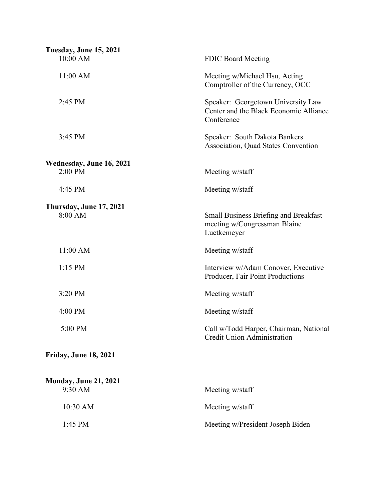| <b>Tuesday, June 15, 2021</b>       |                                                                                             |
|-------------------------------------|---------------------------------------------------------------------------------------------|
| 10:00 AM                            | <b>FDIC Board Meeting</b>                                                                   |
| 11:00 AM                            | Meeting w/Michael Hsu, Acting<br>Comptroller of the Currency, OCC                           |
| 2:45 PM                             | Speaker: Georgetown University Law<br>Center and the Black Economic Alliance<br>Conference  |
| 3:45 PM                             | Speaker: South Dakota Bankers<br>Association, Quad States Convention                        |
| Wednesday, June 16, 2021<br>2:00 PM | Meeting w/staff                                                                             |
| 4:45 PM                             | Meeting w/staff                                                                             |
| Thursday, June 17, 2021             |                                                                                             |
| 8:00 AM                             | <b>Small Business Briefing and Breakfast</b><br>meeting w/Congressman Blaine<br>Luetkemeyer |
| 11:00 AM                            | Meeting w/staff                                                                             |
| $1:15$ PM                           | Interview w/Adam Conover, Executive<br>Producer, Fair Point Productions                     |
| 3:20 PM                             | Meeting w/staff                                                                             |
| 4:00 PM                             | Meeting w/staff                                                                             |
| 5:00 PM                             | Call w/Todd Harper, Chairman, National<br><b>Credit Union Administration</b>                |
| <b>Friday, June 18, 2021</b>        |                                                                                             |
| <b>Monday, June 21, 2021</b>        |                                                                                             |
| 9:30 AM                             | Meeting w/staff                                                                             |
| 10:30 AM                            | Meeting w/staff                                                                             |
| 1:45 PM                             | Meeting w/President Joseph Biden                                                            |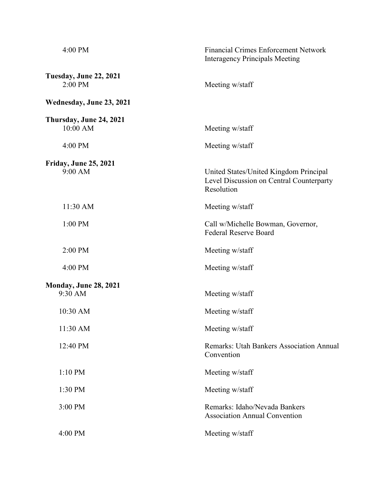| 4:00 PM                                  | <b>Financial Crimes Enforcement Network</b><br><b>Interagency Principals Meeting</b>             |
|------------------------------------------|--------------------------------------------------------------------------------------------------|
| <b>Tuesday, June 22, 2021</b><br>2:00 PM | Meeting w/staff                                                                                  |
| Wednesday, June 23, 2021                 |                                                                                                  |
| Thursday, June 24, 2021<br>10:00 AM      | Meeting w/staff                                                                                  |
| 4:00 PM                                  | Meeting w/staff                                                                                  |
| <b>Friday, June 25, 2021</b><br>9:00 AM  | United States/United Kingdom Principal<br>Level Discussion on Central Counterparty<br>Resolution |
| 11:30 AM                                 | Meeting w/staff                                                                                  |
| 1:00 PM                                  | Call w/Michelle Bowman, Governor,<br><b>Federal Reserve Board</b>                                |
| 2:00 PM                                  | Meeting w/staff                                                                                  |
| 4:00 PM                                  | Meeting w/staff                                                                                  |
| <b>Monday, June 28, 2021</b><br>9:30 AM  | Meeting w/staff                                                                                  |
| 10:30 AM                                 | Meeting w/staff                                                                                  |
| 11:30 AM                                 | Meeting w/staff                                                                                  |
| 12:40 PM                                 | Remarks: Utah Bankers Association Annual<br>Convention                                           |
| 1:10 PM                                  | Meeting w/staff                                                                                  |
| 1:30 PM                                  | Meeting w/staff                                                                                  |
| 3:00 PM                                  | Remarks: Idaho/Nevada Bankers<br><b>Association Annual Convention</b>                            |
| 4:00 PM                                  | Meeting w/staff                                                                                  |